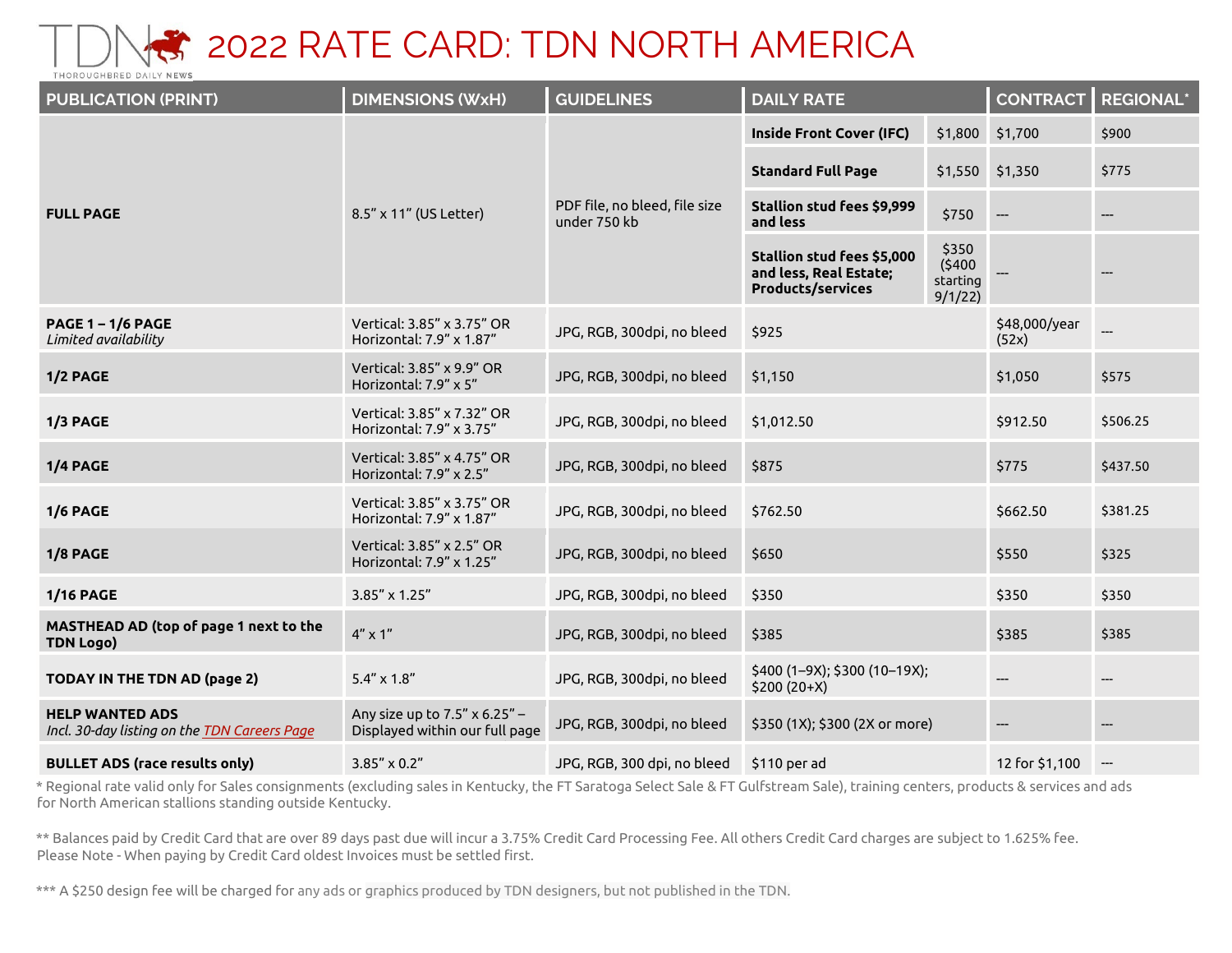

| <b>PUBLICATION (PRINT)</b>                                             | <b>DIMENSIONS (WxH)</b>                                         | <b>GUIDELINES</b>                             | <b>DAILY RATE</b>                                                                       |                                        | <b>CONTRACT</b>        | <b>REGIONAL*</b> |
|------------------------------------------------------------------------|-----------------------------------------------------------------|-----------------------------------------------|-----------------------------------------------------------------------------------------|----------------------------------------|------------------------|------------------|
| <b>FULL PAGE</b>                                                       |                                                                 | PDF file, no bleed, file size<br>under 750 kb | <b>Inside Front Cover (IFC)</b>                                                         |                                        | \$1,800 \$1,700        | \$900            |
|                                                                        |                                                                 |                                               | <b>Standard Full Page</b>                                                               | \$1,550                                | \$1,350                | \$775            |
|                                                                        | 8.5" x 11" (US Letter)                                          |                                               | Stallion stud fees \$9,999<br>and less                                                  | \$750                                  |                        | ---              |
|                                                                        |                                                                 |                                               | <b>Stallion stud fees \$5,000</b><br>and less, Real Estate;<br><b>Products/services</b> | \$350<br>(5400)<br>starting<br>9/1/22) |                        |                  |
| <b>PAGE 1-1/6 PAGE</b><br>Limited availability                         | Vertical: 3.85" x 3.75" OR<br>Horizontal: 7.9" x 1.87"          | JPG, RGB, 300dpi, no bleed                    | \$925                                                                                   |                                        | \$48,000/year<br>(52x) |                  |
| 1/2 PAGE                                                               | Vertical: 3.85" x 9.9" OR<br>Horizontal: 7.9" x 5"              | JPG, RGB, 300dpi, no bleed                    | \$1,150                                                                                 |                                        | \$1,050                | \$575            |
| $1/3$ PAGE                                                             | Vertical: 3.85" x 7.32" OR<br>Horizontal: 7.9" x 3.75"          | JPG, RGB, 300dpi, no bleed                    | \$1,012.50                                                                              |                                        | \$912.50               | \$506.25         |
| 1/4 PAGE                                                               | Vertical: 3.85" x 4.75" OR<br>Horizontal: 7.9" x 2.5"           | JPG, RGB, 300dpi, no bleed                    | \$875                                                                                   |                                        | \$775                  | \$437.50         |
| 1/6 PAGE                                                               | Vertical: 3.85" x 3.75" OR<br>Horizontal: 7.9" x 1.87"          | JPG, RGB, 300dpi, no bleed                    | \$762.50                                                                                |                                        | \$662.50               | \$381.25         |
| 1/8 PAGE                                                               | Vertical: 3.85" x 2.5" OR<br>Horizontal: 7.9" x 1.25"           | JPG, RGB, 300dpi, no bleed                    | \$650                                                                                   |                                        | \$550                  | \$325            |
| <b>1/16 PAGE</b>                                                       | 3.85" x 1.25"                                                   | JPG, RGB, 300dpi, no bleed                    | \$350                                                                                   |                                        | \$350                  | \$350            |
| MASTHEAD AD (top of page 1 next to the<br><b>TDN Logo)</b>             | $4'' \times 1''$                                                | JPG, RGB, 300dpi, no bleed                    | \$385                                                                                   |                                        | \$385                  | \$385            |
| <b>TODAY IN THE TDN AD (page 2)</b>                                    | $5.4'' \times 1.8''$                                            | JPG, RGB, 300dpi, no bleed                    | \$400 (1-9X); \$300 (10-19X);<br>$$200 (20+X)$                                          |                                        | $\qquad \qquad \cdots$ | ---              |
| <b>HELP WANTED ADS</b><br>Incl. 30-day listing on the TDN Careers Page | Any size up to 7.5" x 6.25" -<br>Displayed within our full page | JPG, RGB, 300dpi, no bleed                    | \$350 (1X); \$300 (2X or more)                                                          |                                        | $-\!-\!$               |                  |
| <b>BULLET ADS (race results only)</b>                                  | $3.85'' \times 0.2''$                                           | JPG, RGB, 300 dpi, no bleed                   | \$110 per ad                                                                            |                                        | 12 for \$1,100         | ---              |

\* Regional rate valid only for Sales consignments (excluding sales in Kentucky, the FT Saratoga Select Sale & FT Gulfstream Sale), training centers, products & services and ads for North American stallions standing outside Kentucky.

\*\* Balances paid by Credit Card that are over 89 days past due will incur a 3.75% Credit Card Processing Fee. All others Credit Card charges are subject to 1.625% fee. Please Note - When paying by Credit Card oldest Invoices must be settled first.

\*\*\* A \$250 design fee will be charged for any ads or graphics produced by TDN designers, but not published in the TDN.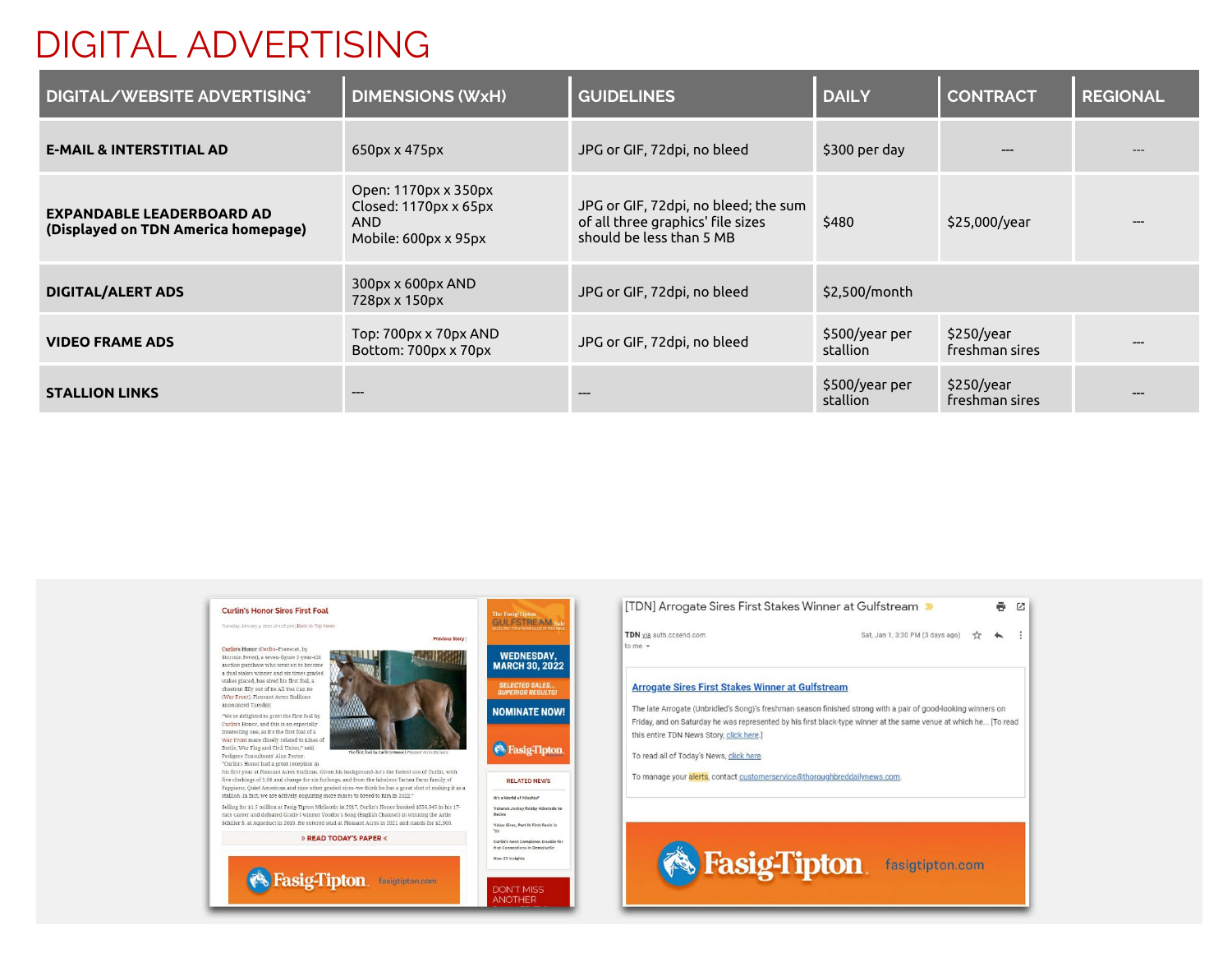### DIGITAL ADVERTISING

| <b>DIGITAL/WEBSITE ADVERTISING*</b>                                     | <b>DIMENSIONS (WxH)</b>                                                             | <b>GUIDELINES</b>                                                                                     | <b>DAILY</b>               | <b>CONTRACT</b>              | <b>REGIONAL</b> |
|-------------------------------------------------------------------------|-------------------------------------------------------------------------------------|-------------------------------------------------------------------------------------------------------|----------------------------|------------------------------|-----------------|
| <b>E-MAIL &amp; INTERSTITIAL AD</b>                                     | 650px x 475px                                                                       | JPG or GIF, 72dpi, no bleed                                                                           | \$300 per day              |                              |                 |
| <b>EXPANDABLE LEADERBOARD AD</b><br>(Displayed on TDN America homepage) | Open: 1170px x 350px<br>Closed: 1170px x 65px<br><b>AND</b><br>Mobile: 600px x 95px | JPG or GIF, 72dpi, no bleed; the sum<br>of all three graphics' file sizes<br>should be less than 5 MB | \$480                      | \$25,000/year                |                 |
| <b>DIGITAL/ALERT ADS</b>                                                | 300px x 600px AND<br>728px x 150px                                                  | JPG or GIF, 72dpi, no bleed                                                                           | \$2,500/month              |                              |                 |
| <b>VIDEO FRAME ADS</b>                                                  | Top: 700px x 70px AND<br>Bottom: 700px x 70px                                       | JPG or GIF, 72dpi, no bleed                                                                           | \$500/year per<br>stallion | \$250/year<br>freshman sires |                 |
| <b>STALLION LINKS</b>                                                   | $---$                                                                               |                                                                                                       | \$500/year per<br>stallion | \$250/year<br>freshman sires |                 |

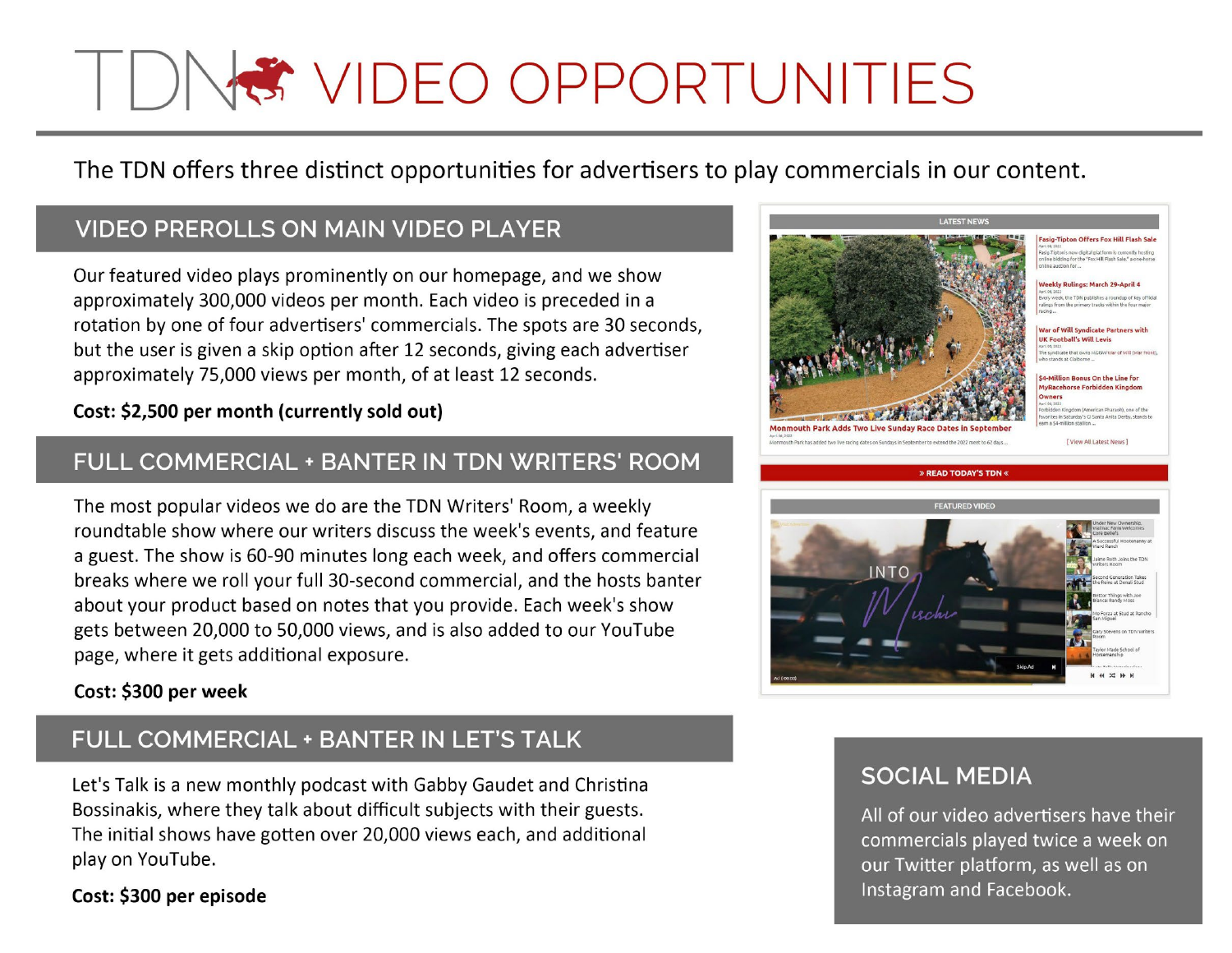# I DIVE VIDEO OPPORTUNITIES

The TDN offers three distinct opportunities for advertisers to play commercials in our content.

#### **VIDEO PREROLLS ON MAIN VIDEO PLAYER**

Our featured video plays prominently on our homepage, and we show approximately 300,000 videos per month. Each video is preceded in a rotation by one of four advertisers' commercials. The spots are 30 seconds, but the user is given a skip option after 12 seconds, giving each advertiser approximately 75,000 views per month, of at least 12 seconds.

#### Cost: \$2,500 per month (currently sold out)

#### FULL COMMERCIAL + BANTER IN TDN WRITERS' ROOM

The most popular videos we do are the TDN Writers' Room, a weekly roundtable show where our writers discuss the week's events, and feature a guest. The show is 60-90 minutes long each week, and offers commercial breaks where we roll your full 30-second commercial, and the hosts banter about your product based on notes that you provide. Each week's show gets between 20,000 to 50,000 views, and is also added to our YouTube page, where it gets additional exposure.

#### Cost: \$300 per week

#### FULL COMMERCIAL + BANTER IN LET'S TALK

Let's Talk is a new monthly podcast with Gabby Gaudet and Christina Bossinakis, where they talk about difficult subjects with their guests. The initial shows have gotten over 20,000 views each, and additional play on YouTube.

Cost: \$300 per episode



#### **SOCIAL MEDIA**

All of our video advertisers have their commercials played twice a week on our Twitter platform, as well as on Instagram and Facebook.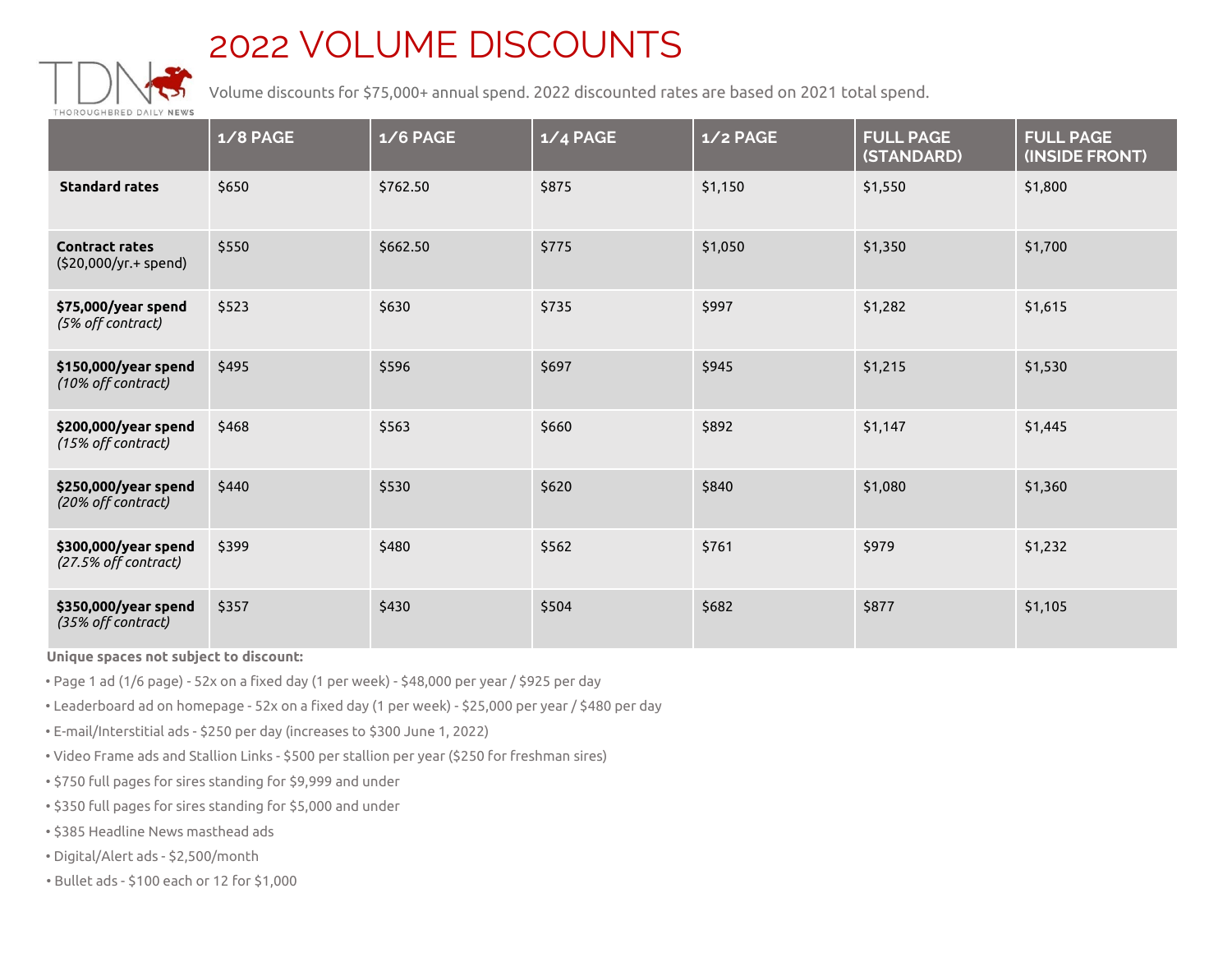## 2022 VOLUME DISCOUNTS



Volume discounts for \$75,000+ annual spend. 2022 discounted rates are based on 2021 total spend.

|                                                | 1/8 PAGE | $1/6$ PAGE | $1/4$ PAGE | $1/2$ PAGE | <b>FULL PAGE</b><br>(STANDARD) | <b>FULL PAGE</b><br>(INSIDE FRONT) |
|------------------------------------------------|----------|------------|------------|------------|--------------------------------|------------------------------------|
| <b>Standard rates</b>                          | \$650    | \$762.50   | \$875      | \$1,150    | \$1,550                        | \$1,800                            |
| <b>Contract rates</b><br>(\$20,000/yr.+ spend) | \$550    | \$662.50   | \$775      | \$1,050    | \$1,350                        | \$1,700                            |
| \$75,000/year spend<br>(5% off contract)       | \$523    | \$630      | \$735      | \$997      | \$1,282                        | \$1,615                            |
| \$150,000/year spend<br>(10% off contract)     | \$495    | \$596      | \$697      | \$945      | \$1,215                        | \$1,530                            |
| \$200,000/year spend<br>(15% off contract)     | \$468    | \$563      | \$660      | \$892      | \$1,147                        | \$1,445                            |
| \$250,000/year spend<br>(20% off contract)     | \$440    | \$530      | \$620      | \$840      | \$1,080                        | \$1,360                            |
| \$300,000/year spend<br>(27.5% off contract)   | \$399    | \$480      | \$562      | \$761      | \$979                          | \$1,232                            |
| \$350,000/year spend<br>(35% off contract)     | \$357    | \$430      | \$504      | \$682      | \$877                          | \$1,105                            |

**Unique spaces not subject to discount:**

• Page 1 ad (1/6 page) - 52x on a fixed day (1 per week) - \$48,000 per year / \$925 per day

- Leaderboard ad on homepage 52x on a fixed day (1 per week) \$25,000 per year / \$480 per day
- E-mail/Interstitial ads \$250 per day (increases to \$300 June 1, 2022)
- Video Frame ads and Stallion Links \$500 per stallion per year (\$250 for freshman sires)
- \$750 full pages for sires standing for \$9,999 and under
- \$350 full pages for sires standing for \$5,000 and under
- \$385 Headline News masthead ads
- Digital/Alert ads \$2,500/month
- Bullet ads \$100 each or 12 for \$1,000